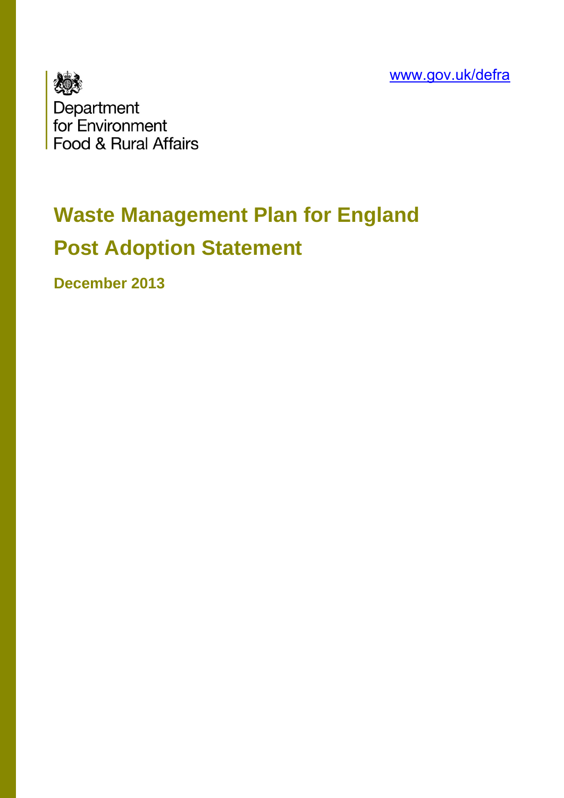[www.gov.uk/defra](http://www.gov.uk/defra)



# **Waste Management Plan for England Post Adoption Statement**

**December 2013**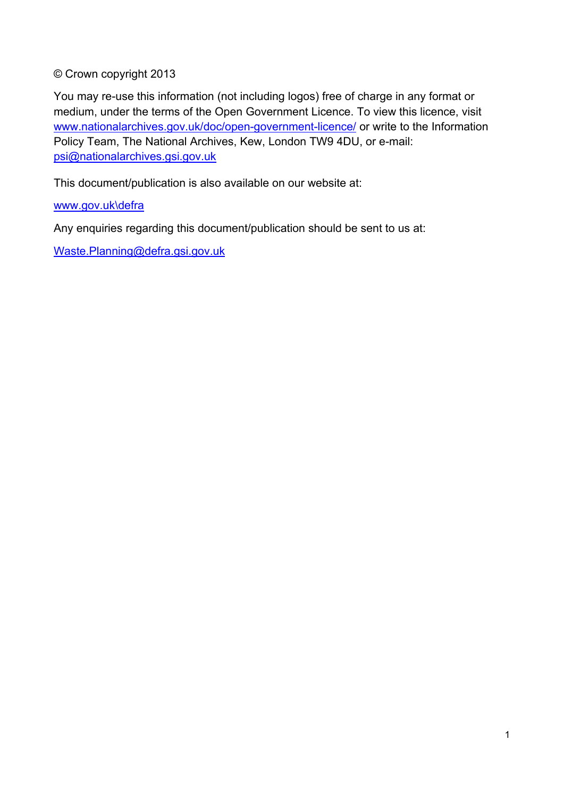#### © Crown copyright 2013

You may re-use this information (not including logos) free of charge in any format or medium, under the terms of the Open Government Licence. To view this licence, visit [www.nationalarchives.gov.uk/doc/open-government-licence/](http://www.nationalarchives.gov.uk/doc/open-government-licence/) or write to the Information Policy Team, The National Archives, Kew, London TW9 4DU, or e-mail: [psi@nationalarchives.gsi.gov.uk](mailto:psi@nationalarchives.gsi.gov.uk)

This document/publication is also available on our website at:

#### [www.gov.uk\defra](http://www.gov.uk/defra)

Any enquiries regarding this document/publication should be sent to us at:

[Waste.Planning@defra.gsi.gov.uk](mailto:Waste.Planning@defra.gsi.gov.uk)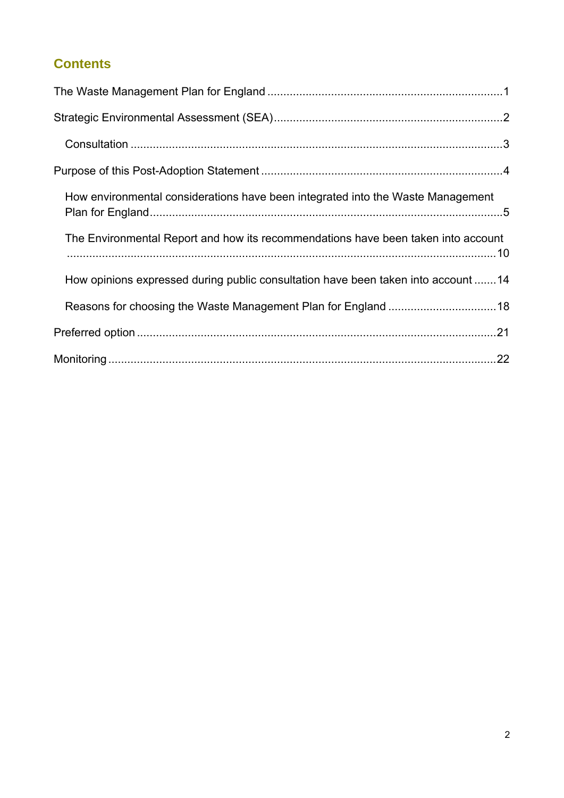## **Contents**

| How environmental considerations have been integrated into the Waste Management   |  |
|-----------------------------------------------------------------------------------|--|
| The Environmental Report and how its recommendations have been taken into account |  |
| How opinions expressed during public consultation have been taken into account 14 |  |
|                                                                                   |  |
|                                                                                   |  |
|                                                                                   |  |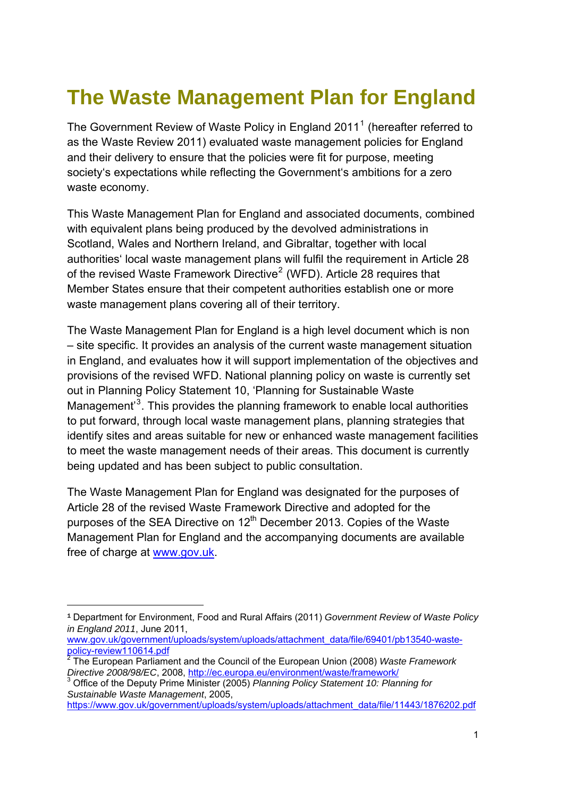# <span id="page-3-0"></span>**The Waste Management Plan for England**

The Government Review of Waste Policy in England 20[1](#page-3-1)1<sup>1</sup> (hereafter referred to as the Waste Review 2011) evaluated waste management policies for England and their delivery to ensure that the policies were fit for purpose, meeting society's expectations while reflecting the Government's ambitions for a zero waste economy.

This Waste Management Plan for England and associated documents, combined with equivalent plans being produced by the devolved administrations in Scotland, Wales and Northern Ireland, and Gibraltar, together with local authorities' local waste management plans will fulfil the requirement in Article 28 of the revised Waste Framework Directive<sup>[2](#page-3-2)</sup> (WFD). Article 28 requires that Member States ensure that their competent authorities establish one or more waste management plans covering all of their territory.

The Waste Management Plan for England is a high level document which is non – site specific. It provides an analysis of the current waste management situation in England, and evaluates how it will support implementation of the objectives and provisions of the revised WFD. National planning policy on waste is currently set out in Planning Policy Statement 10, 'Planning for Sustainable Waste Management<sup>[3](#page-3-3)</sup>. This provides the planning framework to enable local authorities to put forward, through local waste management plans, planning strategies that identify sites and areas suitable for new or enhanced waste management facilities to meet the waste management needs of their areas. This document is currently being updated and has been subject to public consultation.

The Waste Management Plan for England was designated for the purposes of Article 28 of the revised Waste Framework Directive and adopted for the purposes of the SEA Directive on 12<sup>th</sup> December 2013. Copies of the Waste Management Plan for England and the accompanying documents are available free of charge at [www.gov.uk](http://www.gov.uk/).

1

<span id="page-3-1"></span><sup>1</sup> Department for Environment, Food and Rural Affairs (2011) *Government Review of Waste Policy in England 2011*, June 2011,

www.gov.uk/government/uploads/system/uploads/attachment\_data/file/69401/pb13540-wastepolicy-review110614.pdf

<span id="page-3-2"></span>The European Parliament and the Council of the European Union (2008) *Waste Framework Directive 2008/98/EC*, 2008, <http://ec.europa.eu/environment/waste/framework/> <sup>3</sup>

<span id="page-3-3"></span>Office of the Deputy Prime Minister (2005) *Planning Policy Statement 10: Planning for Sustainable Waste Management*, 2005,

[https://www.gov.uk/government/uploads/system/uploads/attachment\\_data/file/11443/1876202.pdf](https://www.gov.uk/government/uploads/system/uploads/attachment_data/file/11443/1876202.pdf)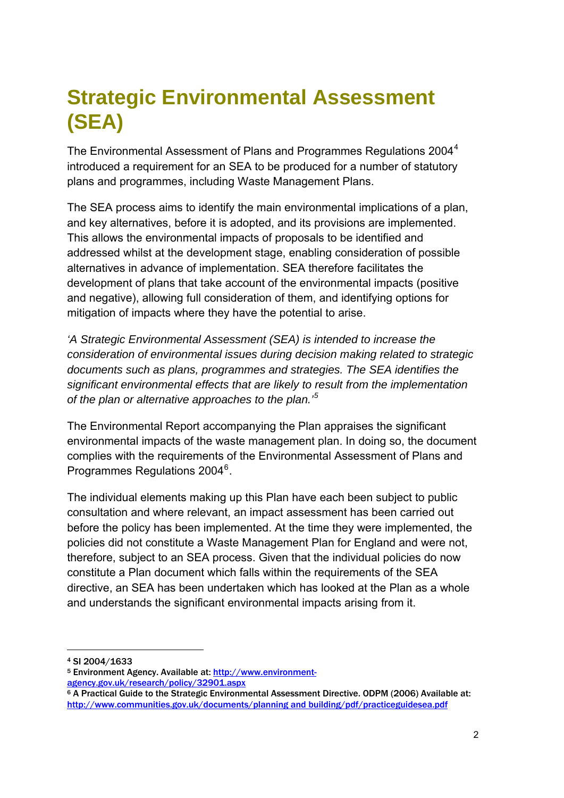# <span id="page-4-0"></span>**Strategic Environmental Assessment (SEA)**

The Environmental Assessment of Plans and Programmes Regulations 200[4](#page-4-0)<sup>4</sup> introduced a requirement for an SEA to be produced for a number of statutory plans and programmes, including Waste Management Plans.

The SEA process aims to identify the main environmental implications of a plan, and key alternatives, before it is adopted, and its provisions are implemented. This allows the environmental impacts of proposals to be identified and addressed whilst at the development stage, enabling consideration of possible alternatives in advance of implementation. SEA therefore facilitates the development of plans that take account of the environmental impacts (positive and negative), allowing full consideration of them, and identifying options for mitigation of impacts where they have the potential to arise.

*'A Strategic Environmental Assessment (SEA) is intended to increase the consideration of environmental issues during decision making related to strategic documents such as plans, programmes and strategies. The SEA identifies the significant environmental effects that are likely to result from the implementation of the plan or alternative approaches to the plan.'[5](#page-4-0)*

The Environmental Report accompanying the Plan appraises the significant environmental impacts of the waste management plan. In doing so, the document complies with the requirements of the Environmental Assessment of Plans and Programmes Regulations 2004<sup>[6](#page-4-0)</sup>.

The individual elements making up this Plan have each been subject to public consultation and where relevant, an impact assessment has been carried out before the policy has been implemented. At the time they were implemented, the policies did not constitute a Waste Management Plan for England and were not, therefore, subject to an SEA process. Given that the individual policies do now constitute a Plan document which falls within the requirements of the SEA directive, an SEA has been undertaken which has looked at the Plan as a whole and understands the significant environmental impacts arising from it.

1

- 5 Environment Agency. Available at: [http://www.environment-](http://www.environment-agency.gov.uk/research/policy/32901.aspx)
- [agency.gov.uk/research/policy/32901.aspx](http://www.environment-agency.gov.uk/research/policy/32901.aspx)<br><sup>6</sup> A Practical Guide to the Strategic Environmental Assessment Directive. ODPM (2006) Available at: [http://www.communities.gov.uk/documents/planning and building/pdf/practiceguidesea.pdf](http://www.communities.gov.uk/documents/planning%20and%20building/pdf/practiceguidesea.pdf)

<sup>4</sup> SI 2004/1633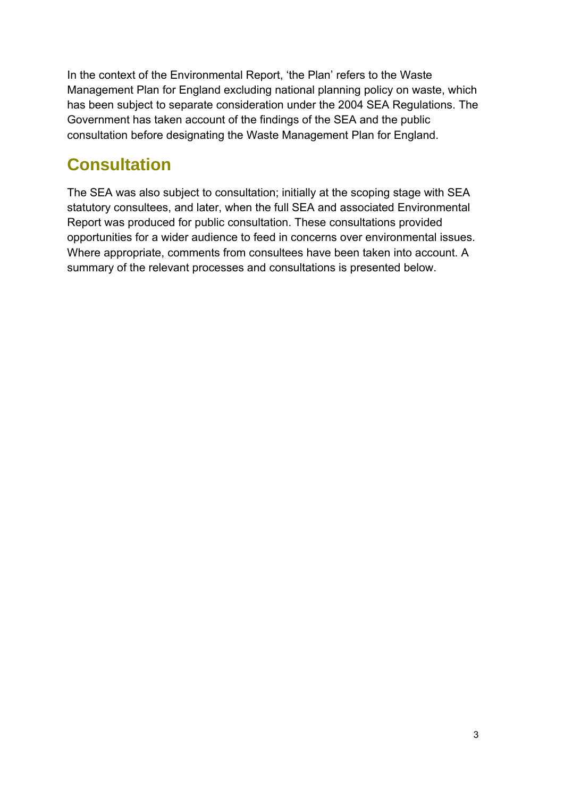<span id="page-5-0"></span>In the context of the Environmental Report, 'the Plan' refers to the Waste Management Plan for England excluding national planning policy on waste, which has been subject to separate consideration under the 2004 SEA Regulations. The Government has taken account of the findings of the SEA and the public consultation before designating the Waste Management Plan for England.

# **Consultation**

The SEA was also subject to consultation; initially at the scoping stage with SEA statutory consultees, and later, when the full SEA and associated Environmental Report was produced for public consultation. These consultations provided opportunities for a wider audience to feed in concerns over environmental issues. Where appropriate, comments from consultees have been taken into account. A summary of the relevant processes and consultations is presented below.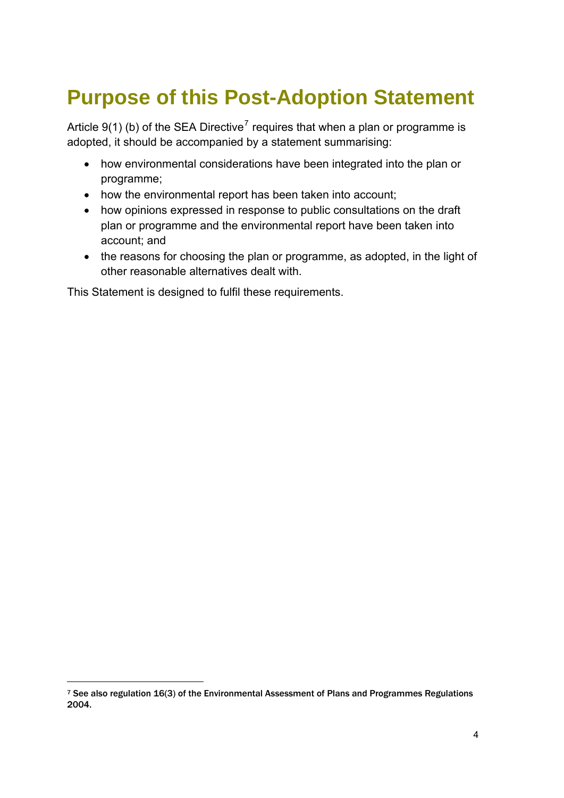# <span id="page-6-0"></span>**Purpose of this Post-Adoption Statement**

Article 9(1) (b) of the SEA Directive<sup>[7](#page-6-0)</sup> requires that when a plan or programme is adopted, it should be accompanied by a statement summarising:

- how environmental considerations have been integrated into the plan or programme;
- how the environmental report has been taken into account;
- how opinions expressed in response to public consultations on the draft plan or programme and the environmental report have been taken into account; and
- the reasons for choosing the plan or programme, as adopted, in the light of other reasonable alternatives dealt with.

This Statement is designed to fulfil these requirements.

1

<sup>7</sup> See also regulation 16(3) of the Environmental Assessment of Plans and Programmes Regulations 2004.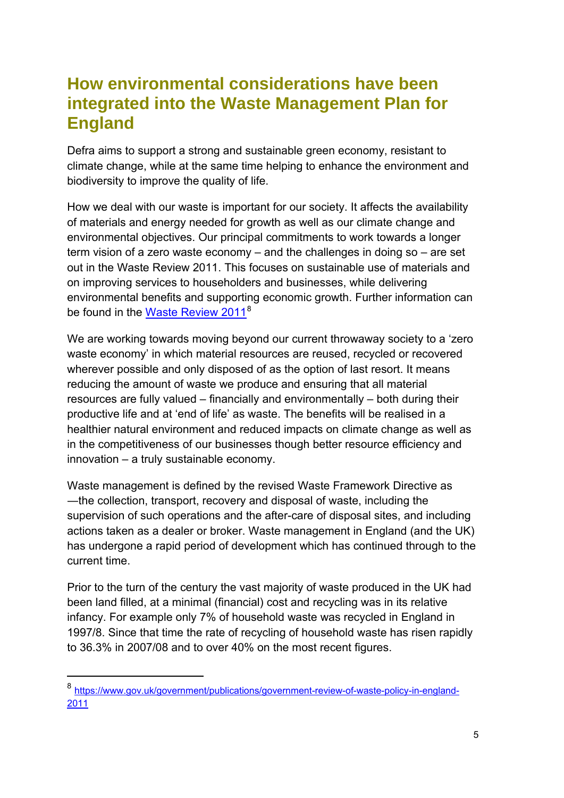# <span id="page-7-0"></span>**How environmental considerations have been integrated into the Waste Management Plan for England**

Defra aims to support a strong and sustainable green economy, resistant to climate change, while at the same time helping to enhance the environment and biodiversity to improve the quality of life.

How we deal with our waste is important for our society. It affects the availability of materials and energy needed for growth as well as our climate change and environmental objectives. Our principal commitments to work towards a longer term vision of a zero waste economy – and the challenges in doing so – are set out in the Waste Review 2011. This focuses on sustainable use of materials and on improving services to householders and businesses, while delivering environmental benefits and supporting economic growth. Further information can be found in the [Waste Review 2011](https://www.gov.uk/government/publications/government-review-of-waste-policy-in-england-2011)<sup>[8](#page-7-0)</sup>

We are working towards moving beyond our current throwaway society to a 'zero waste economy' in which material resources are reused, recycled or recovered wherever possible and only disposed of as the option of last resort. It means reducing the amount of waste we produce and ensuring that all material resources are fully valued – financially and environmentally – both during their productive life and at 'end of life' as waste. The benefits will be realised in a healthier natural environment and reduced impacts on climate change as well as in the competitiveness of our businesses though better resource efficiency and innovation – a truly sustainable economy.

Waste management is defined by the revised Waste Framework Directive as ―the collection, transport, recovery and disposal of waste, including the supervision of such operations and the after-care of disposal sites, and including actions taken as a dealer or broker. Waste management in England (and the UK) has undergone a rapid period of development which has continued through to the current time.

Prior to the turn of the century the vast majority of waste produced in the UK had been land filled, at a minimal (financial) cost and recycling was in its relative infancy. For example only 7% of household waste was recycled in England in 1997/8. Since that time the rate of recycling of household waste has risen rapidly to 36.3% in 2007/08 and to over 40% on the most recent figures.

1

<sup>8</sup> [https://www.gov.uk/government/publications/government-review-of-waste-policy-in-england-](https://www.gov.uk/government/publications/government-review-of-waste-policy-in-england-2011)[2011](https://www.gov.uk/government/publications/government-review-of-waste-policy-in-england-2011)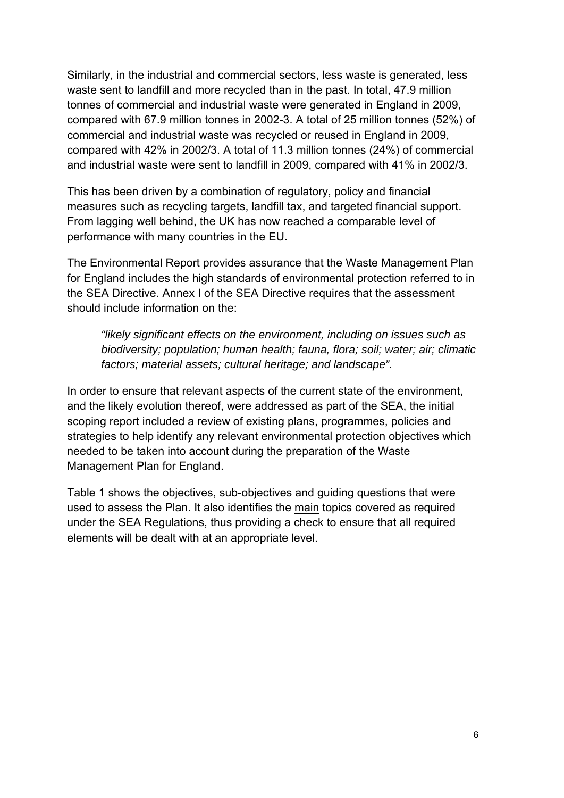Similarly, in the industrial and commercial sectors, less waste is generated, less waste sent to landfill and more recycled than in the past. In total, 47.9 million tonnes of commercial and industrial waste were generated in England in 2009, compared with 67.9 million tonnes in 2002-3. A total of 25 million tonnes (52%) of commercial and industrial waste was recycled or reused in England in 2009, compared with 42% in 2002/3. A total of 11.3 million tonnes (24%) of commercial and industrial waste were sent to landfill in 2009, compared with 41% in 2002/3.

This has been driven by a combination of regulatory, policy and financial measures such as recycling targets, landfill tax, and targeted financial support. From lagging well behind, the UK has now reached a comparable level of performance with many countries in the EU.

The Environmental Report provides assurance that the Waste Management Plan for England includes the high standards of environmental protection referred to in the SEA Directive. Annex I of the SEA Directive requires that the assessment should include information on the:

*"likely significant effects on the environment, including on issues such as biodiversity; population; human health; fauna, flora; soil; water; air; climatic factors; material assets; cultural heritage; and landscape".* 

In order to ensure that relevant aspects of the current state of the environment, and the likely evolution thereof, were addressed as part of the SEA, the initial scoping report included a review of existing plans, programmes, policies and strategies to help identify any relevant environmental protection objectives which needed to be taken into account during the preparation of the Waste Management Plan for England.

[Table 1](#page-9-0) shows the objectives, sub-objectives and guiding questions that were used to assess the Plan. It also identifies the main topics covered as required under the SEA Regulations, thus providing a check to ensure that all required elements will be dealt with at an appropriate level.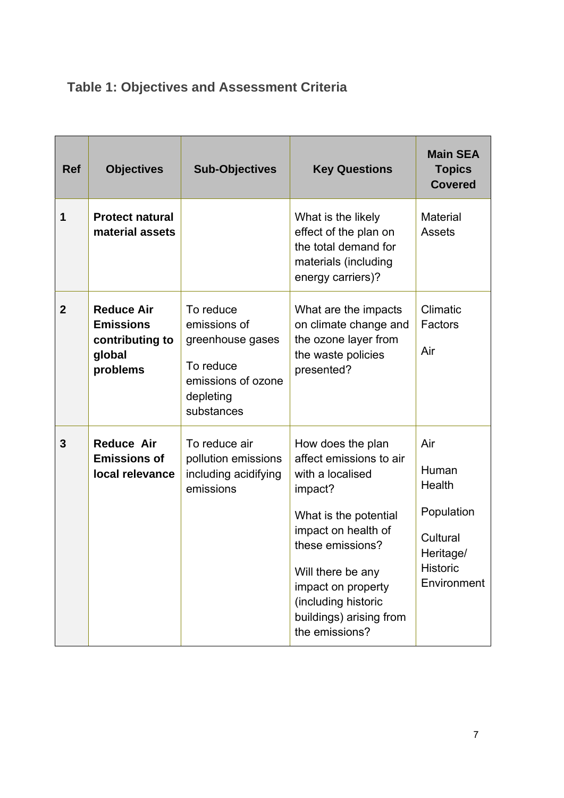# **Table 1: Objectives and Assessment Criteria**

<span id="page-9-0"></span>

| <b>Ref</b>     | <b>Objectives</b>                                                              | <b>Sub-Objectives</b>                                                                                       | <b>Key Questions</b>                                                                                                                                                                                                                                           | <b>Main SEA</b><br><b>Topics</b><br><b>Covered</b>                                              |
|----------------|--------------------------------------------------------------------------------|-------------------------------------------------------------------------------------------------------------|----------------------------------------------------------------------------------------------------------------------------------------------------------------------------------------------------------------------------------------------------------------|-------------------------------------------------------------------------------------------------|
| 1              | <b>Protect natural</b><br>material assets                                      |                                                                                                             | What is the likely<br>effect of the plan on<br>the total demand for<br>materials (including<br>energy carriers)?                                                                                                                                               | <b>Material</b><br><b>Assets</b>                                                                |
| $\overline{2}$ | <b>Reduce Air</b><br><b>Emissions</b><br>contributing to<br>global<br>problems | To reduce<br>emissions of<br>greenhouse gases<br>To reduce<br>emissions of ozone<br>depleting<br>substances | What are the impacts<br>on climate change and<br>the ozone layer from<br>the waste policies<br>presented?                                                                                                                                                      | Climatic<br>Factors<br>Air                                                                      |
| $\mathbf{3}$   | <b>Reduce Air</b><br><b>Emissions of</b><br>local relevance                    | To reduce air<br>pollution emissions<br>including acidifying<br>emissions                                   | How does the plan<br>affect emissions to air<br>with a localised<br>impact?<br>What is the potential<br>impact on health of<br>these emissions?<br>Will there be any<br>impact on property<br>(including historic<br>buildings) arising from<br>the emissions? | Air<br>Human<br>Health<br>Population<br>Cultural<br>Heritage/<br><b>Historic</b><br>Environment |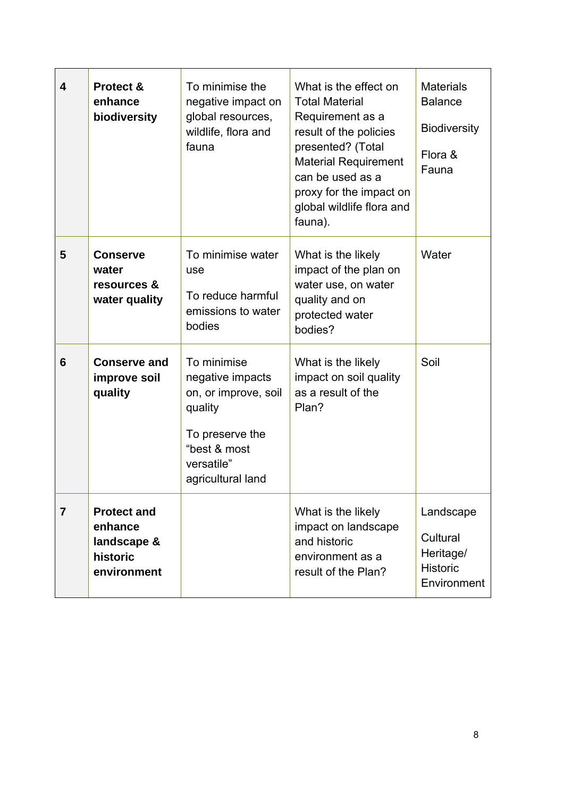| $\overline{\mathbf{4}}$ | Protect &<br>enhance<br>biodiversity                                    | To minimise the<br>negative impact on<br>global resources,<br>wildlife, flora and<br>fauna                                               | What is the effect on<br><b>Total Material</b><br>Requirement as a<br>result of the policies<br>presented? (Total<br><b>Material Requirement</b><br>can be used as a<br>proxy for the impact on<br>global wildlife flora and<br>fauna). | <b>Materials</b><br><b>Balance</b><br><b>Biodiversity</b><br>Flora &<br>Fauna |
|-------------------------|-------------------------------------------------------------------------|------------------------------------------------------------------------------------------------------------------------------------------|-----------------------------------------------------------------------------------------------------------------------------------------------------------------------------------------------------------------------------------------|-------------------------------------------------------------------------------|
| 5                       | <b>Conserve</b><br>water<br>resources &<br>water quality                | To minimise water<br>use<br>To reduce harmful<br>emissions to water<br>bodies                                                            | What is the likely<br>impact of the plan on<br>water use, on water<br>quality and on<br>protected water<br>bodies?                                                                                                                      | Water                                                                         |
| 6                       | <b>Conserve and</b><br>improve soil<br>quality                          | To minimise<br>negative impacts<br>on, or improve, soil<br>quality<br>To preserve the<br>"best & most<br>versatile"<br>agricultural land | What is the likely<br>impact on soil quality<br>as a result of the<br>Plan?                                                                                                                                                             | Soil                                                                          |
| $\overline{7}$          | <b>Protect and</b><br>enhance<br>landscape &<br>historic<br>environment |                                                                                                                                          | What is the likely<br>impact on landscape<br>and historic<br>environment as a<br>result of the Plan?                                                                                                                                    | Landscape<br>Cultural<br>Heritage/<br><b>Historic</b><br>Environment          |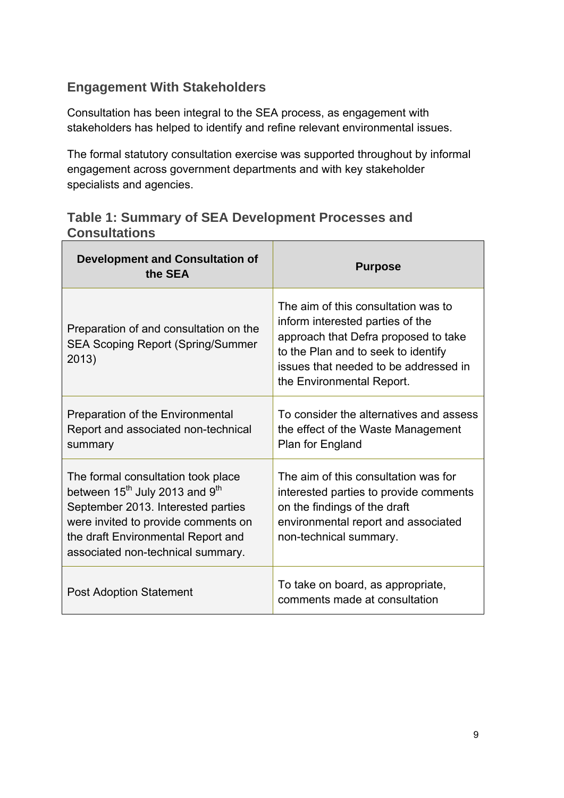## **Engagement With Stakeholders**

Consultation has been integral to the SEA process, as engagement with stakeholders has helped to identify and refine relevant environmental issues.

The formal statutory consultation exercise was supported throughout by informal engagement across government departments and with key stakeholder specialists and agencies.

#### **Table 1: Summary of SEA Development Processes and Consultations**

| <b>Development and Consultation of</b><br>the SEA                                                                                                                                                                                                    | <b>Purpose</b>                                                                                                                                                                                                               |
|------------------------------------------------------------------------------------------------------------------------------------------------------------------------------------------------------------------------------------------------------|------------------------------------------------------------------------------------------------------------------------------------------------------------------------------------------------------------------------------|
| Preparation of and consultation on the<br><b>SEA Scoping Report (Spring/Summer</b><br>2013)                                                                                                                                                          | The aim of this consultation was to<br>inform interested parties of the<br>approach that Defra proposed to take<br>to the Plan and to seek to identify<br>issues that needed to be addressed in<br>the Environmental Report. |
| <b>Preparation of the Environmental</b><br>Report and associated non-technical<br>summary                                                                                                                                                            | To consider the alternatives and assess<br>the effect of the Waste Management<br>Plan for England                                                                                                                            |
| The formal consultation took place<br>between 15 <sup>th</sup> July 2013 and 9 <sup>th</sup><br>September 2013. Interested parties<br>were invited to provide comments on<br>the draft Environmental Report and<br>associated non-technical summary. | The aim of this consultation was for<br>interested parties to provide comments<br>on the findings of the draft<br>environmental report and associated<br>non-technical summary.                                              |
| <b>Post Adoption Statement</b>                                                                                                                                                                                                                       | To take on board, as appropriate,<br>comments made at consultation                                                                                                                                                           |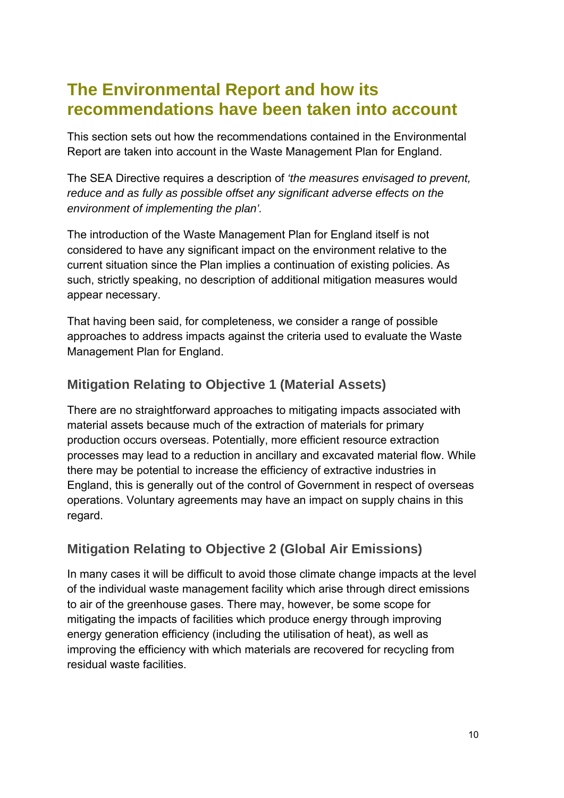# <span id="page-12-0"></span>**The Environmental Report and how its recommendations have been taken into account**

This section sets out how the recommendations contained in the Environmental Report are taken into account in the Waste Management Plan for England.

The SEA Directive requires a description of *'the measures envisaged to prevent, reduce and as fully as possible offset any significant adverse effects on the environment of implementing the plan'.*

The introduction of the Waste Management Plan for England itself is not considered to have any significant impact on the environment relative to the current situation since the Plan implies a continuation of existing policies. As such, strictly speaking, no description of additional mitigation measures would appear necessary.

That having been said, for completeness, we consider a range of possible approaches to address impacts against the criteria used to evaluate the Waste Management Plan for England.

#### **Mitigation Relating to Objective 1 (Material Assets)**

There are no straightforward approaches to mitigating impacts associated with material assets because much of the extraction of materials for primary production occurs overseas. Potentially, more efficient resource extraction processes may lead to a reduction in ancillary and excavated material flow. While there may be potential to increase the efficiency of extractive industries in England, this is generally out of the control of Government in respect of overseas operations. Voluntary agreements may have an impact on supply chains in this regard.

### **Mitigation Relating to Objective 2 (Global Air Emissions)**

In many cases it will be difficult to avoid those climate change impacts at the level of the individual waste management facility which arise through direct emissions to air of the greenhouse gases. There may, however, be some scope for mitigating the impacts of facilities which produce energy through improving energy generation efficiency (including the utilisation of heat), as well as improving the efficiency with which materials are recovered for recycling from residual waste facilities.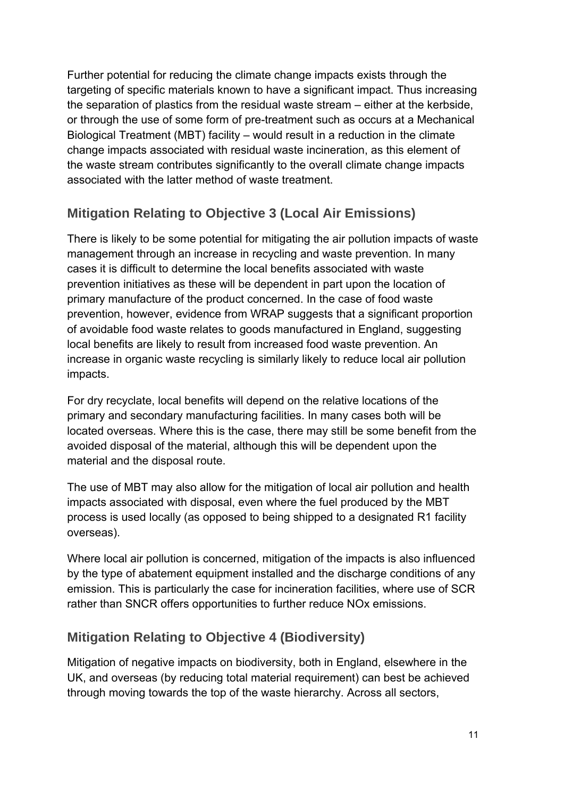Further potential for reducing the climate change impacts exists through the targeting of specific materials known to have a significant impact. Thus increasing the separation of plastics from the residual waste stream – either at the kerbside, or through the use of some form of pre-treatment such as occurs at a Mechanical Biological Treatment (MBT) facility – would result in a reduction in the climate change impacts associated with residual waste incineration, as this element of the waste stream contributes significantly to the overall climate change impacts associated with the latter method of waste treatment.

## **Mitigation Relating to Objective 3 (Local Air Emissions)**

There is likely to be some potential for mitigating the air pollution impacts of waste management through an increase in recycling and waste prevention. In many cases it is difficult to determine the local benefits associated with waste prevention initiatives as these will be dependent in part upon the location of primary manufacture of the product concerned. In the case of food waste prevention, however, evidence from WRAP suggests that a significant proportion of avoidable food waste relates to goods manufactured in England, suggesting local benefits are likely to result from increased food waste prevention. An increase in organic waste recycling is similarly likely to reduce local air pollution impacts.

For dry recyclate, local benefits will depend on the relative locations of the primary and secondary manufacturing facilities. In many cases both will be located overseas. Where this is the case, there may still be some benefit from the avoided disposal of the material, although this will be dependent upon the material and the disposal route.

The use of MBT may also allow for the mitigation of local air pollution and health impacts associated with disposal, even where the fuel produced by the MBT process is used locally (as opposed to being shipped to a designated R1 facility overseas).

Where local air pollution is concerned, mitigation of the impacts is also influenced by the type of abatement equipment installed and the discharge conditions of any emission. This is particularly the case for incineration facilities, where use of SCR rather than SNCR offers opportunities to further reduce NOx emissions.

# **Mitigation Relating to Objective 4 (Biodiversity)**

Mitigation of negative impacts on biodiversity, both in England, elsewhere in the UK, and overseas (by reducing total material requirement) can best be achieved through moving towards the top of the waste hierarchy. Across all sectors,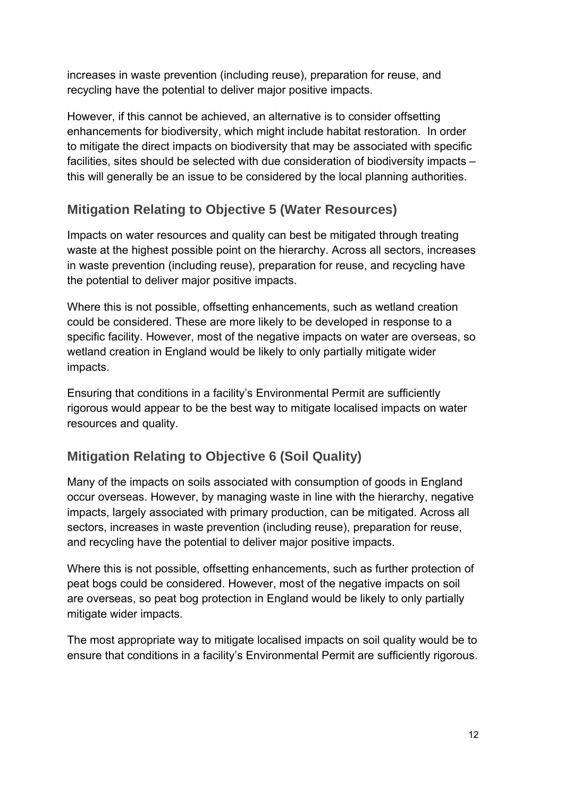increases in waste prevention (including reuse), preparation for reuse, and recycling have the potential to deliver major positive impacts.

However, if this cannot be achieved, an alternative is to consider offsetting enhancements for biodiversity, which might include habitat restoration. In order to mitigate the direct impacts on biodiversity that may be associated with specific facilities, sites should be selected with due consideration of biodiversity impacts – this will generally be an issue to be considered by the local planning authorities.

## **Mitigation Relating to Objective 5 (Water Resources)**

Impacts on water resources and quality can best be mitigated through treating waste at the highest possible point on the hierarchy. Across all sectors, increases in waste prevention (including reuse), preparation for reuse, and recycling have the potential to deliver major positive impacts.

Where this is not possible, offsetting enhancements, such as wetland creation could be considered. These are more likely to be developed in response to a specific facility. However, most of the negative impacts on water are overseas, so wetland creation in England would be likely to only partially mitigate wider impacts.

Ensuring that conditions in a facility's Environmental Permit are sufficiently rigorous would appear to be the best way to mitigate localised impacts on water resources and quality.

# **Mitigation Relating to Objective 6 (Soil Quality)**

Many of the impacts on soils associated with consumption of goods in England occur overseas. However, by managing waste in line with the hierarchy, negative impacts, largely associated with primary production, can be mitigated. Across all sectors, increases in waste prevention (including reuse), preparation for reuse, and recycling have the potential to deliver major positive impacts.

Where this is not possible, offsetting enhancements, such as further protection of peat bogs could be considered. However, most of the negative impacts on soil are overseas, so peat bog protection in England would be likely to only partially mitigate wider impacts.

The most appropriate way to mitigate localised impacts on soil quality would be to ensure that conditions in a facility's Environmental Permit are sufficiently rigorous.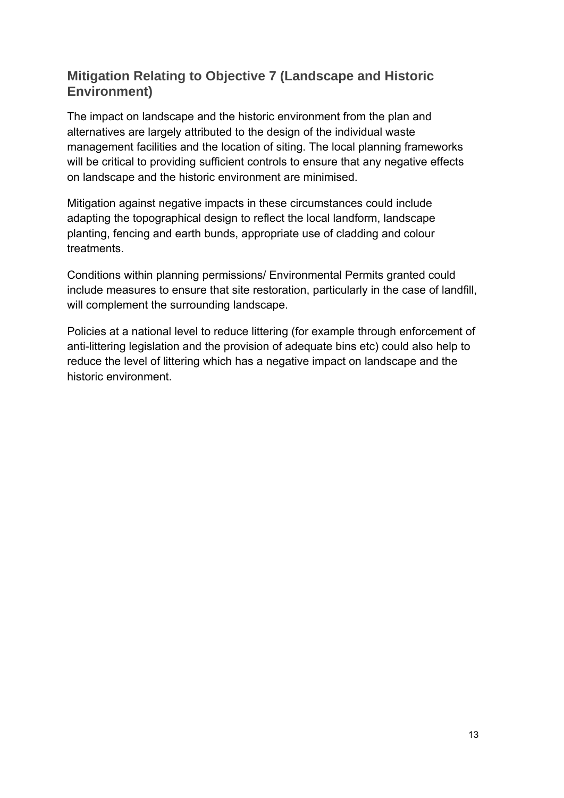#### **Mitigation Relating to Objective 7 (Landscape and Historic Environment)**

The impact on landscape and the historic environment from the plan and alternatives are largely attributed to the design of the individual waste management facilities and the location of siting. The local planning frameworks will be critical to providing sufficient controls to ensure that any negative effects on landscape and the historic environment are minimised.

Mitigation against negative impacts in these circumstances could include adapting the topographical design to reflect the local landform, landscape planting, fencing and earth bunds, appropriate use of cladding and colour treatments.

Conditions within planning permissions/ Environmental Permits granted could include measures to ensure that site restoration, particularly in the case of landfill, will complement the surrounding landscape.

Policies at a national level to reduce littering (for example through enforcement of anti-littering legislation and the provision of adequate bins etc) could also help to reduce the level of littering which has a negative impact on landscape and the historic environment.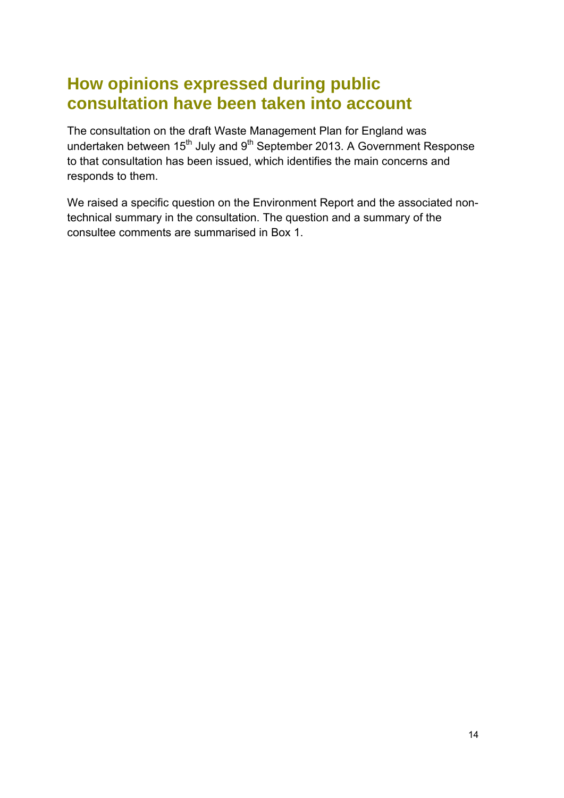# <span id="page-16-0"></span>**How opinions expressed during public consultation have been taken into account**

The consultation on the draft Waste Management Plan for England was undertaken between 15<sup>th</sup> July and 9<sup>th</sup> September 2013. A Government Response to that consultation has been issued, which identifies the main concerns and responds to them.

We raised a specific question on the Environment Report and the associated nontechnical summary in the consultation. The question and a summary of the consultee comments are summarised in Box 1.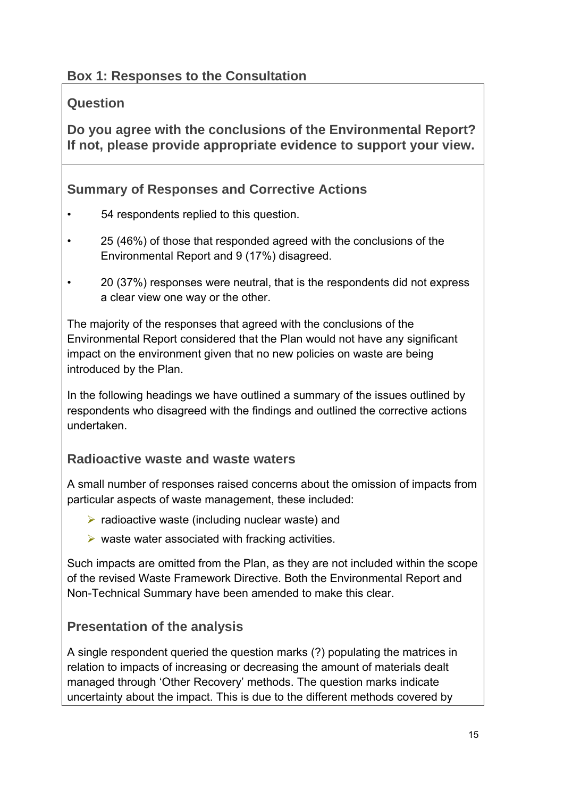## **Box 1: Responses to the Consultation**

#### **Question**

**Do you agree with the conclusions of the Environmental Report? If not, please provide appropriate evidence to support your view.** 

### **Summary of Responses and Corrective Actions**

- 54 respondents replied to this question.
- 25 (46%) of those that responded agreed with the conclusions of the Environmental Report and 9 (17%) disagreed.
- 20 (37%) responses were neutral, that is the respondents did not express a clear view one way or the other.

The majority of the responses that agreed with the conclusions of the Environmental Report considered that the Plan would not have any significant impact on the environment given that no new policies on waste are being introduced by the Plan.

In the following headings we have outlined a summary of the issues outlined by respondents who disagreed with the findings and outlined the corrective actions undertaken.

#### **Radioactive waste and waste waters**

A small number of responses raised concerns about the omission of impacts from particular aspects of waste management, these included:

- $\triangleright$  radioactive waste (including nuclear waste) and
- $\triangleright$  waste water associated with fracking activities.

Such impacts are omitted from the Plan, as they are not included within the scope of the revised Waste Framework Directive. Both the Environmental Report and Non-Technical Summary have been amended to make this clear.

#### **Presentation of the analysis**

A single respondent queried the question marks (?) populating the matrices in relation to impacts of increasing or decreasing the amount of materials dealt managed through 'Other Recovery' methods. The question marks indicate uncertainty about the impact. This is due to the different methods covered by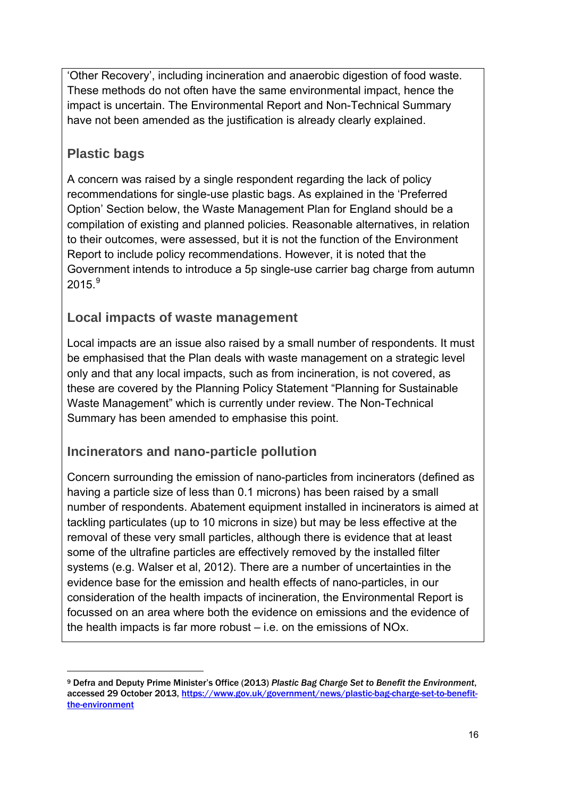<span id="page-18-0"></span>'Other Recovery', including incineration and anaerobic digestion of food waste. These methods do not often have the same environmental impact, hence the impact is uncertain. The Environmental Report and Non-Technical Summary have not been amended as the justification is already clearly explained.

#### **Plastic bags**

1

A concern was raised by a single respondent regarding the lack of policy recommendations for single-use plastic bags. As explained in the 'Preferred Option' Section below, the Waste Management Plan for England should be a compilation of existing and planned policies. Reasonable alternatives, in relation to their outcomes, were assessed, but it is not the function of the Environment Report to include policy recommendations. However, it is noted that the Government intends to introduce a 5p single-use carrier bag charge from autumn  $2015.$   $^9$  $^9$ 

#### **Local impacts of waste management**

Local impacts are an issue also raised by a small number of respondents. It must be emphasised that the Plan deals with waste management on a strategic level only and that any local impacts, such as from incineration, is not covered, as these are covered by the Planning Policy Statement "Planning for Sustainable Waste Management" which is currently under review. The Non-Technical Summary has been amended to emphasise this point.

### **Incinerators and nano-particle pollution**

Concern surrounding the emission of nano-particles from incinerators (defined as having a particle size of less than 0.1 microns) has been raised by a small number of respondents. Abatement equipment installed in incinerators is aimed at tackling particulates (up to 10 microns in size) but may be less effective at the removal of these very small particles, although there is evidence that at least some of the ultrafine particles are effectively removed by the installed filter systems (e.g. Walser et al, 2012). There are a number of uncertainties in the evidence base for the emission and health effects of nano-particles, in our consideration of the health impacts of incineration, the Environmental Report is focussed on an area where both the evidence on emissions and the evidence of the health impacts is far more robust – i.e. on the emissions of NOx.

<sup>9</sup> Defra and Deputy Prime Minister's Office (2013) *Plastic Bag Charge Set to Benefit the Environment*, accessed 29 October 2013, [https://www.gov.uk/government/news/plastic-bag-charge-set-to-benefit](https://www.gov.uk/government/news/plastic-bag-charge-set-to-benefit-the-environment)[the-environment](https://www.gov.uk/government/news/plastic-bag-charge-set-to-benefit-the-environment)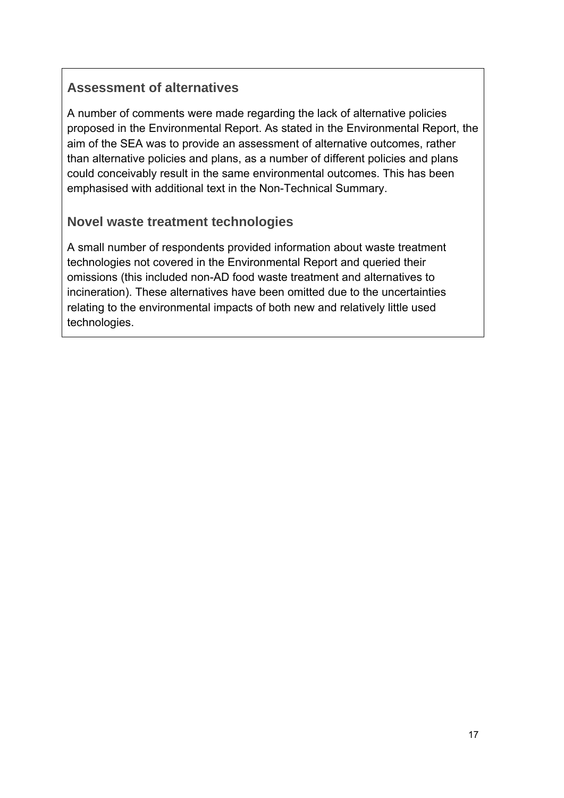#### **Assessment of alternatives**

A number of comments were made regarding the lack of alternative policies proposed in the Environmental Report. As stated in the Environmental Report, the aim of the SEA was to provide an assessment of alternative outcomes, rather than alternative policies and plans, as a number of different policies and plans could conceivably result in the same environmental outcomes. This has been emphasised with additional text in the Non-Technical Summary.

#### **Novel waste treatment technologies**

A small number of respondents provided information about waste treatment technologies not covered in the Environmental Report and queried their omissions (this included non-AD food waste treatment and alternatives to incineration). These alternatives have been omitted due to the uncertainties relating to the environmental impacts of both new and relatively little used technologies.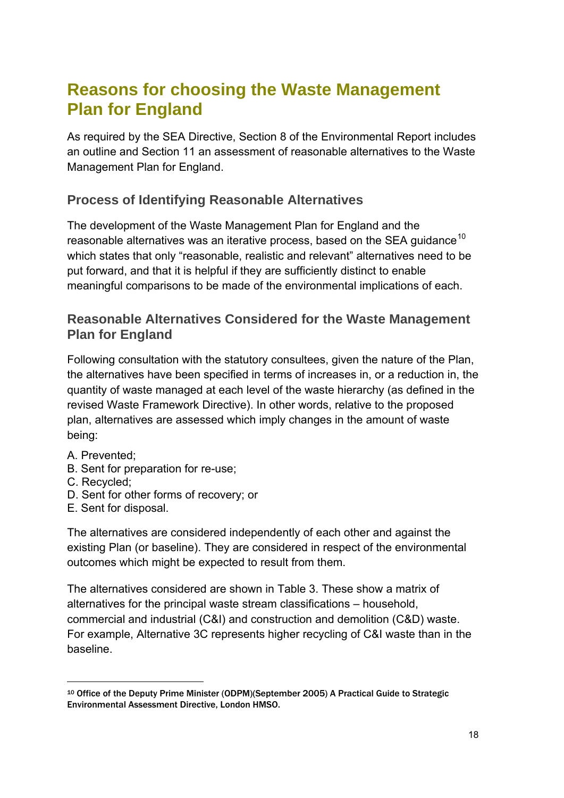# <span id="page-20-0"></span>**Reasons for choosing the Waste Management Plan for England**

As required by the SEA Directive, Section 8 of the Environmental Report includes an outline and Section 11 an assessment of reasonable alternatives to the Waste Management Plan for England.

#### **Process of Identifying Reasonable Alternatives**

The development of the Waste Management Plan for England and the reasonable alternatives was an iterative process, based on the SEA guidance<sup>[10](#page-20-0)</sup> which states that only "reasonable, realistic and relevant" alternatives need to be put forward, and that it is helpful if they are sufficiently distinct to enable meaningful comparisons to be made of the environmental implications of each.

#### **Reasonable Alternatives Considered for the Waste Management Plan for England**

Following consultation with the statutory consultees, given the nature of the Plan, the alternatives have been specified in terms of increases in, or a reduction in, the quantity of waste managed at each level of the waste hierarchy (as defined in the revised Waste Framework Directive). In other words, relative to the proposed plan, alternatives are assessed which imply changes in the amount of waste being:

- A. Prevented;
- B. Sent for preparation for re-use;
- C. Recycled;

1

- D. Sent for other forms of recovery; or
- E. Sent for disposal.

The alternatives are considered independently of each other and against the existing Plan (or baseline). They are considered in respect of the environmental outcomes which might be expected to result from them.

The alternatives considered are shown in Table 3. These show a matrix of alternatives for the principal waste stream classifications – household, commercial and industrial (C&I) and construction and demolition (C&D) waste. For example, Alternative 3C represents higher recycling of C&I waste than in the baseline.

<sup>10</sup> Office of the Deputy Prime Minister (ODPM)(September 2005) A Practical Guide to Strategic Environmental Assessment Directive, London HMSO.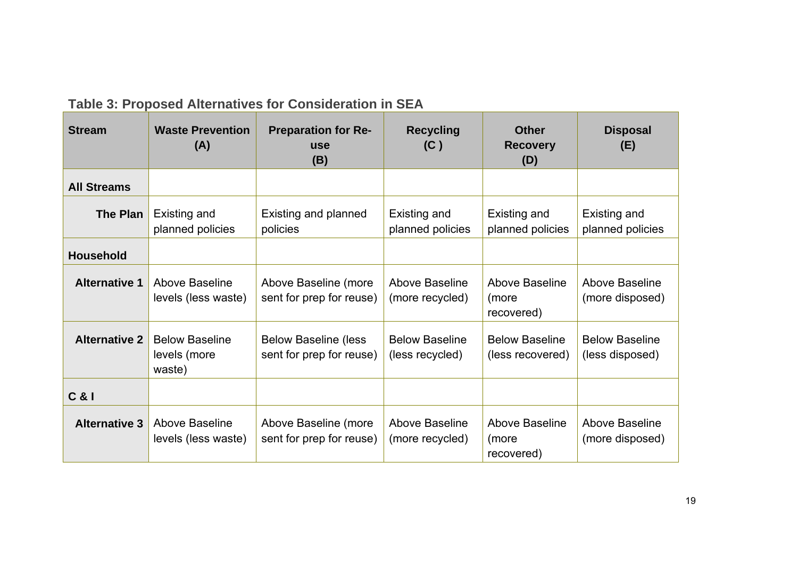| <b>Stream</b>        | <b>Waste Prevention</b><br>(A)                  | <b>Preparation for Re-</b><br><b>use</b><br>(B)         | <b>Recycling</b><br>(C)                  | <b>Other</b><br><b>Recovery</b><br>(D)    | <b>Disposal</b><br>(E)                   |
|----------------------|-------------------------------------------------|---------------------------------------------------------|------------------------------------------|-------------------------------------------|------------------------------------------|
| <b>All Streams</b>   |                                                 |                                                         |                                          |                                           |                                          |
| The Plan             | Existing and<br>planned policies                | Existing and planned<br>policies                        | <b>Existing and</b><br>planned policies  | Existing and<br>planned policies          | Existing and<br>planned policies         |
| <b>Household</b>     |                                                 |                                                         |                                          |                                           |                                          |
| <b>Alternative 1</b> | Above Baseline<br>levels (less waste)           | Above Baseline (more<br>sent for prep for reuse)        | Above Baseline<br>(more recycled)        | Above Baseline<br>(more<br>recovered)     | Above Baseline<br>(more disposed)        |
| <b>Alternative 2</b> | <b>Below Baseline</b><br>levels (more<br>waste) | <b>Below Baseline (less</b><br>sent for prep for reuse) | <b>Below Baseline</b><br>(less recycled) | <b>Below Baseline</b><br>(less recovered) | <b>Below Baseline</b><br>(less disposed) |
| C & 1                |                                                 |                                                         |                                          |                                           |                                          |
| <b>Alternative 3</b> | Above Baseline<br>levels (less waste)           | Above Baseline (more<br>sent for prep for reuse)        | Above Baseline<br>(more recycled)        | Above Baseline<br>(more<br>recovered)     | Above Baseline<br>(more disposed)        |

# **Table 3: Proposed Alternatives for Consideration in SEA**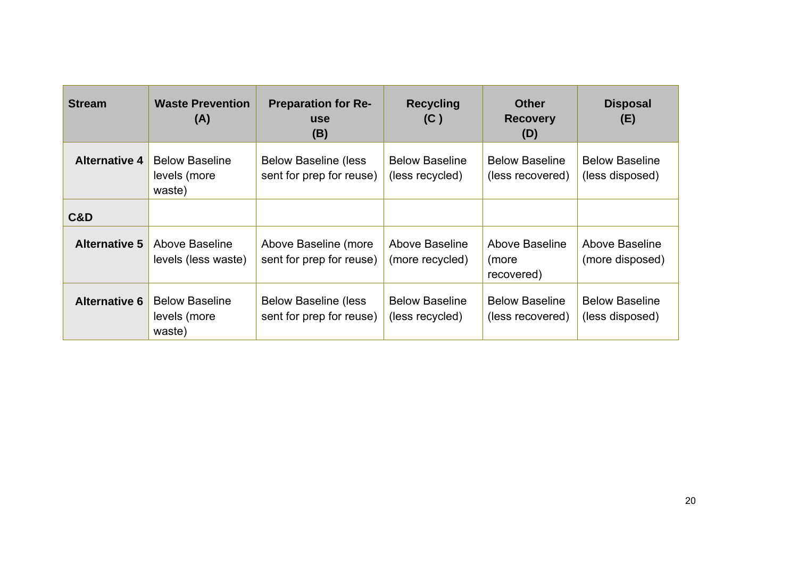| <b>Stream</b>        | <b>Waste Prevention</b><br>(A)                  | <b>Preparation for Re-</b><br><b>use</b><br>(B)          | <b>Recycling</b><br>(C)                  | <b>Other</b><br><b>Recovery</b><br>(D)    | <b>Disposal</b><br>(E)                   |
|----------------------|-------------------------------------------------|----------------------------------------------------------|------------------------------------------|-------------------------------------------|------------------------------------------|
| <b>Alternative 4</b> | <b>Below Baseline</b><br>levels (more<br>waste) | <b>Below Baseline (less)</b><br>sent for prep for reuse) | <b>Below Baseline</b><br>(less recycled) | <b>Below Baseline</b><br>(less recovered) | <b>Below Baseline</b><br>(less disposed) |
| C&D                  |                                                 |                                                          |                                          |                                           |                                          |
| Alternative 5        | Above Baseline<br>levels (less waste)           | Above Baseline (more<br>sent for prep for reuse)         | Above Baseline<br>(more recycled)        | Above Baseline<br>(more<br>recovered)     | Above Baseline<br>(more disposed)        |
| <b>Alternative 6</b> | <b>Below Baseline</b><br>levels (more<br>waste) | <b>Below Baseline (less</b><br>sent for prep for reuse)  | <b>Below Baseline</b><br>(less recycled) | <b>Below Baseline</b><br>(less recovered) | <b>Below Baseline</b><br>(less disposed) |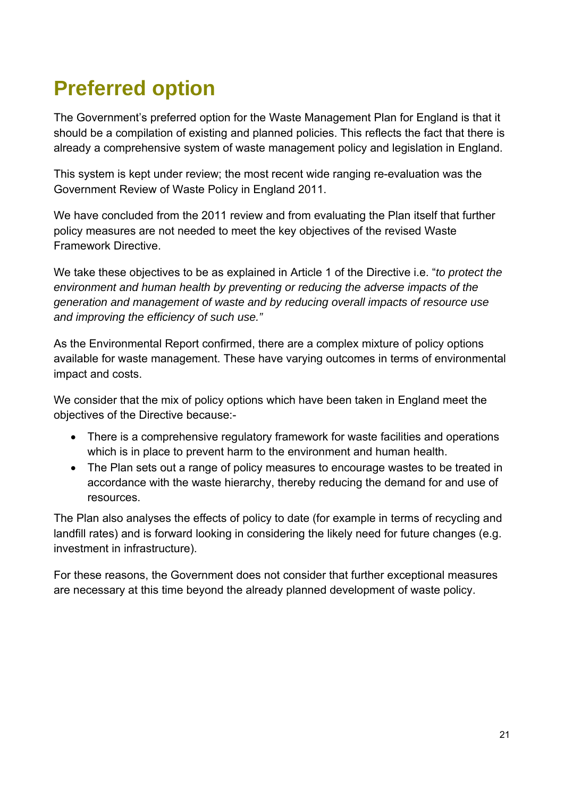# <span id="page-23-0"></span>**Preferred option**

The Government's preferred option for the Waste Management Plan for England is that it should be a compilation of existing and planned policies. This reflects the fact that there is already a comprehensive system of waste management policy and legislation in England.

This system is kept under review; the most recent wide ranging re-evaluation was the Government Review of Waste Policy in England 2011.

We have concluded from the 2011 review and from evaluating the Plan itself that further policy measures are not needed to meet the key objectives of the revised Waste Framework Directive.

We take these objectives to be as explained in Article 1 of the Directive i.e. "*to protect the environment and human health by preventing or reducing the adverse impacts of the generation and management of waste and by reducing overall impacts of resource use and improving the efficiency of such use."*

As the Environmental Report confirmed, there are a complex mixture of policy options available for waste management. These have varying outcomes in terms of environmental impact and costs.

We consider that the mix of policy options which have been taken in England meet the objectives of the Directive because:-

- There is a comprehensive regulatory framework for waste facilities and operations which is in place to prevent harm to the environment and human health.
- The Plan sets out a range of policy measures to encourage wastes to be treated in accordance with the waste hierarchy, thereby reducing the demand for and use of resources.

The Plan also analyses the effects of policy to date (for example in terms of recycling and landfill rates) and is forward looking in considering the likely need for future changes (e.g. investment in infrastructure).

For these reasons, the Government does not consider that further exceptional measures are necessary at this time beyond the already planned development of waste policy.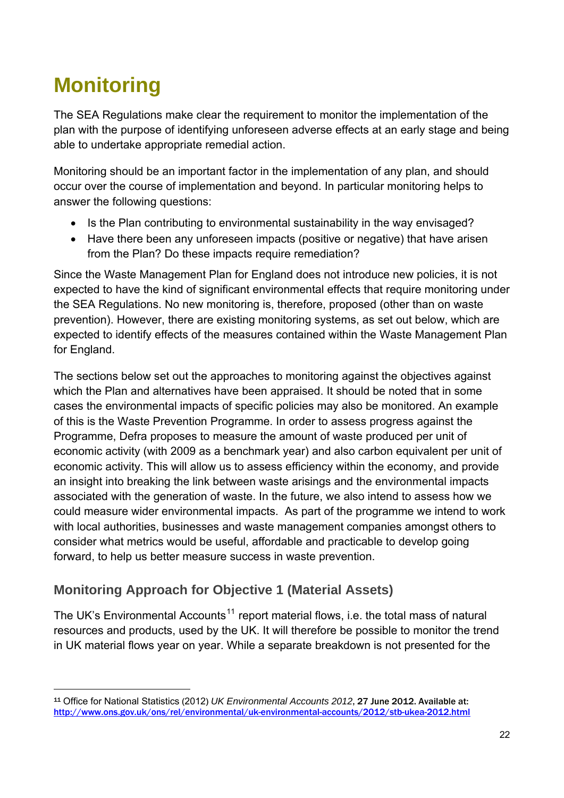# <span id="page-24-0"></span>**Monitoring**

 $\overline{a}$ 

The SEA Regulations make clear the requirement to monitor the implementation of the plan with the purpose of identifying unforeseen adverse effects at an early stage and being able to undertake appropriate remedial action.

Monitoring should be an important factor in the implementation of any plan, and should occur over the course of implementation and beyond. In particular monitoring helps to answer the following questions:

- Is the Plan contributing to environmental sustainability in the way envisaged?
- Have there been any unforeseen impacts (positive or negative) that have arisen from the Plan? Do these impacts require remediation?

Since the Waste Management Plan for England does not introduce new policies, it is not expected to have the kind of significant environmental effects that require monitoring under the SEA Regulations. No new monitoring is, therefore, proposed (other than on waste prevention). However, there are existing monitoring systems, as set out below, which are expected to identify effects of the measures contained within the Waste Management Plan for England.

The sections below set out the approaches to monitoring against the objectives against which the Plan and alternatives have been appraised. It should be noted that in some cases the environmental impacts of specific policies may also be monitored. An example of this is the Waste Prevention Programme. In order to assess progress against the Programme, Defra proposes to measure the amount of waste produced per unit of economic activity (with 2009 as a benchmark year) and also carbon equivalent per unit of economic activity. This will allow us to assess efficiency within the economy, and provide an insight into breaking the link between waste arisings and the environmental impacts associated with the generation of waste. In the future, we also intend to assess how we could measure wider environmental impacts. As part of the programme we intend to work with local authorities, businesses and waste management companies amongst others to consider what metrics would be useful, affordable and practicable to develop going forward, to help us better measure success in waste prevention.

# **Monitoring Approach for Objective 1 (Material Assets)**

The UK's Environmental Accounts<sup>[11](#page-24-0)</sup> report material flows, i.e. the total mass of natural resources and products, used by the UK. It will therefore be possible to monitor the trend in UK material flows year on year. While a separate breakdown is not presented for the

<sup>11</sup> Office for National Statistics (2012) *UK Environmental Accounts 2012*, 27 June 2012. Available at: <http://www.ons.gov.uk/ons/rel/environmental/uk-environmental-accounts/2012/stb-ukea-2012.html>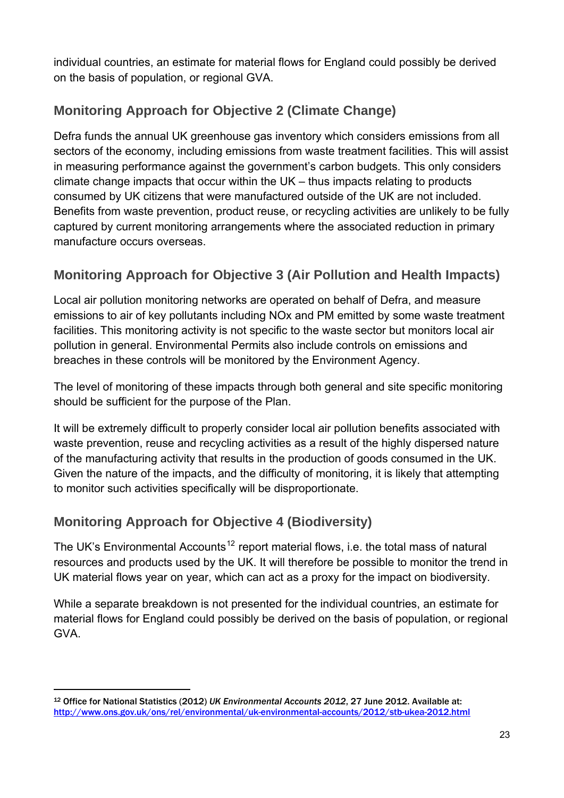<span id="page-25-0"></span>individual countries, an estimate for material flows for England could possibly be derived on the basis of population, or regional GVA.

# **Monitoring Approach for Objective 2 (Climate Change)**

Defra funds the annual UK greenhouse gas inventory which considers emissions from all sectors of the economy, including emissions from waste treatment facilities. This will assist in measuring performance against the government's carbon budgets. This only considers climate change impacts that occur within the UK – thus impacts relating to products consumed by UK citizens that were manufactured outside of the UK are not included. Benefits from waste prevention, product reuse, or recycling activities are unlikely to be fully captured by current monitoring arrangements where the associated reduction in primary manufacture occurs overseas.

## **Monitoring Approach for Objective 3 (Air Pollution and Health Impacts)**

Local air pollution monitoring networks are operated on behalf of Defra, and measure emissions to air of key pollutants including NOx and PM emitted by some waste treatment facilities. This monitoring activity is not specific to the waste sector but monitors local air pollution in general. Environmental Permits also include controls on emissions and breaches in these controls will be monitored by the Environment Agency.

The level of monitoring of these impacts through both general and site specific monitoring should be sufficient for the purpose of the Plan.

It will be extremely difficult to properly consider local air pollution benefits associated with waste prevention, reuse and recycling activities as a result of the highly dispersed nature of the manufacturing activity that results in the production of goods consumed in the UK. Given the nature of the impacts, and the difficulty of monitoring, it is likely that attempting to monitor such activities specifically will be disproportionate.

# **Monitoring Approach for Objective 4 (Biodiversity)**

 $\overline{a}$ 

The UK's Environmental Accounts<sup>[12](#page-25-0)</sup> report material flows, i.e. the total mass of natural resources and products used by the UK. It will therefore be possible to monitor the trend in UK material flows year on year, which can act as a proxy for the impact on biodiversity.

While a separate breakdown is not presented for the individual countries, an estimate for material flows for England could possibly be derived on the basis of population, or regional GVA.

<sup>12</sup> Office for National Statistics (2012) *UK Environmental Accounts 2012*, 27 June 2012. Available at: <http://www.ons.gov.uk/ons/rel/environmental/uk-environmental-accounts/2012/stb-ukea-2012.html>